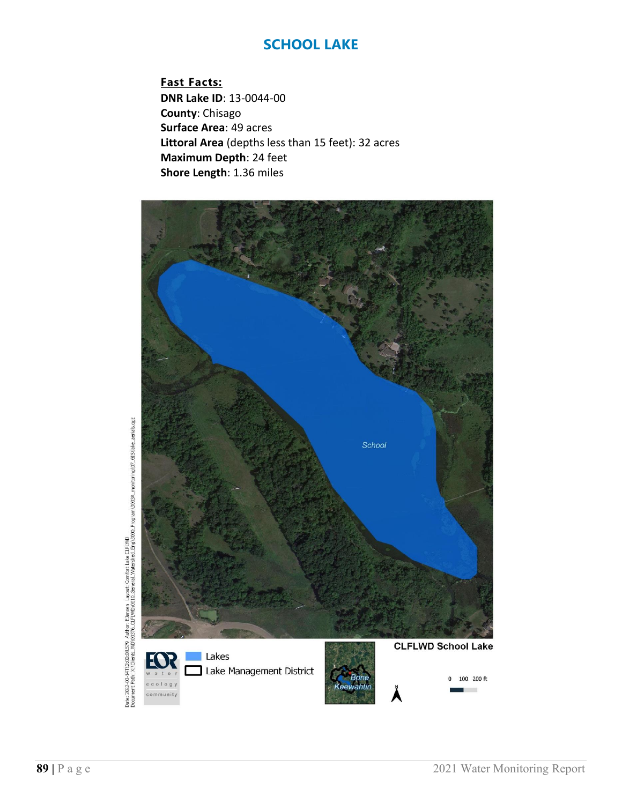## **SCHOOL LAKE**

**Fast Facts: DNR Lake ID**: 13-0044-00 **County**: Chisago **Surface Area**: 49 acres **Littoral Area** (depths less than 15 feet): 32 acres **Maximum Depth**: 24 feet **Shore Length**: 1.36 miles



Date: 2022-03-14T3:00:08.579 Author: Elensen Layout: Comfort Lake CIEWD<br>Document Patr: X:(Clients\_WD)00376\_CIEWD)0010\_General\_Watershed\_Eng13000\_Program130394\_monitoring107\_GIS\lake\_aerials.qgz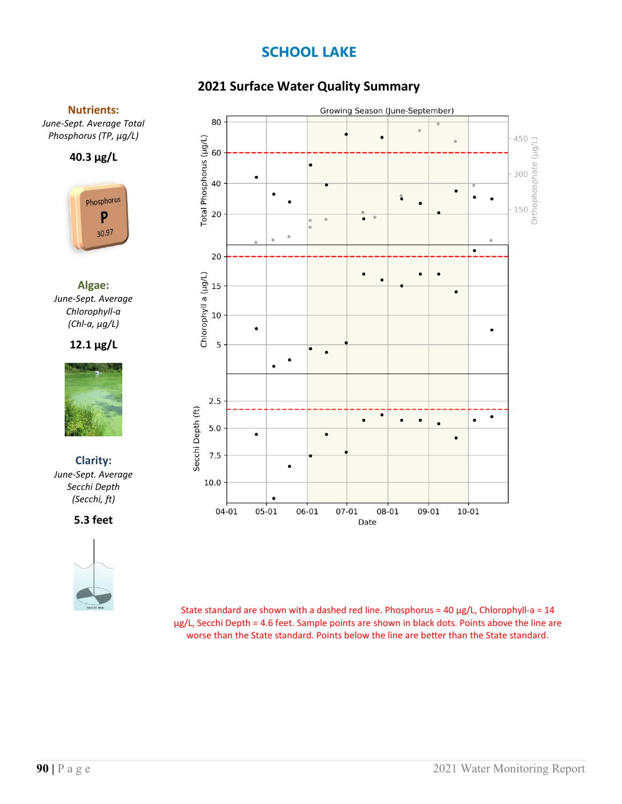# **SCHOOL LAKE**

# **2021 Surface Water Quality Summary**

### **Nutrients:**

*June-Sept. Average Total Phosphorus (TP, µg/L)*

### **40.3 µg/L**



**Algae:** *June-Sept. Average Chlorophyll-a (Chl-a, µg/L)*

### **12.1 µg/L**



**Clarity:**  *June-Sept. Average Secchi Depth (Secchi, ft)*

**5.3 feet**





State standard are shown with a dashed red line. Phosphorus =  $40 \mu g/L$ , Chlorophyll-a =  $14$ µg/L, Secchi Depth = 4.6 feet. Sample points are shown in black dots. Points above the line are worse than the State standard. Points below the line are better than the State standard.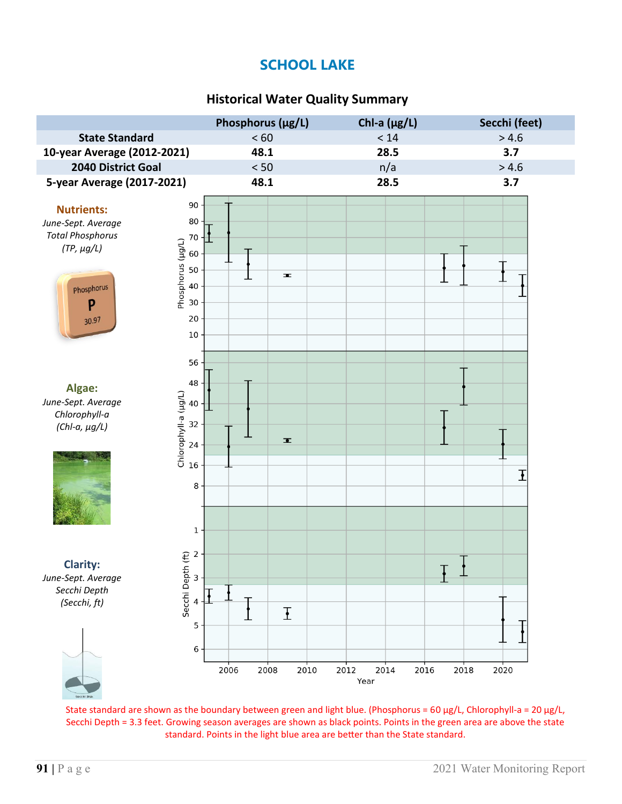# **SCHOOL LAKE**

### **Historical Water Quality Summary**



State standard are shown as the boundary between green and light blue. (Phosphorus =  $60 \mu g/L$ , Chlorophyll-a =  $20 \mu g/L$ , Secchi Depth = 3.3 feet. Growing season averages are shown as black points. Points in the green area are above the state standard. Points in the light blue area are better than the State standard.